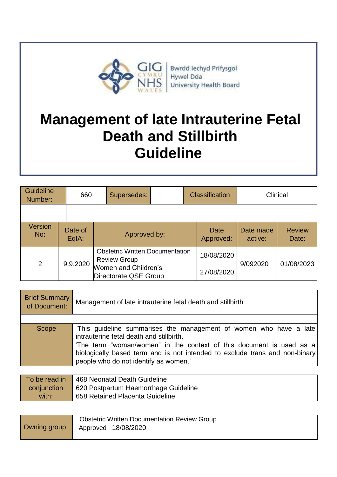

# **Management of late Intrauterine Fetal Death and Stillbirth Guideline**

| <b>Guideline</b><br>Number: | 660              | Supersedes:         |                                                                                         | <b>Classification</b> |                      | Clinical               |
|-----------------------------|------------------|---------------------|-----------------------------------------------------------------------------------------|-----------------------|----------------------|------------------------|
|                             |                  |                     |                                                                                         |                       |                      |                        |
| <b>Version</b><br>No:       | Date of<br>EqIA: |                     | Approved by:                                                                            |                       | Date made<br>active: | <b>Review</b><br>Date: |
| 2                           | 9.9.2020         | <b>Review Group</b> | <b>Obstetric Written Documentation</b><br>Women and Children's<br>Directorate QSE Group |                       | 9/092020             | 01/08/2023             |

| <b>Brief Summary</b><br>of Document: | Management of late intrauterine fetal death and stillbirth                                                                                                                                                                                                                                                    |  |
|--------------------------------------|---------------------------------------------------------------------------------------------------------------------------------------------------------------------------------------------------------------------------------------------------------------------------------------------------------------|--|
|                                      |                                                                                                                                                                                                                                                                                                               |  |
| Scope                                | This guideline summarises the management of women who have a late<br>intrauterine fetal death and stillbirth.<br>'The term "woman/women" in the context of this document is used as a<br>biologically based term and is not intended to exclude trans and non-binary<br>people who do not identify as women.' |  |

|             | To be read in   468 Neonatal Death Guideline |
|-------------|----------------------------------------------|
| conjunction | 620 Postpartum Haemorrhage Guideline         |
| with:       | 658 Retained Placenta Guideline              |

|              | <b>Obstetric Written Documentation Review Group</b> |
|--------------|-----------------------------------------------------|
| Owning group | Approved 18/08/2020                                 |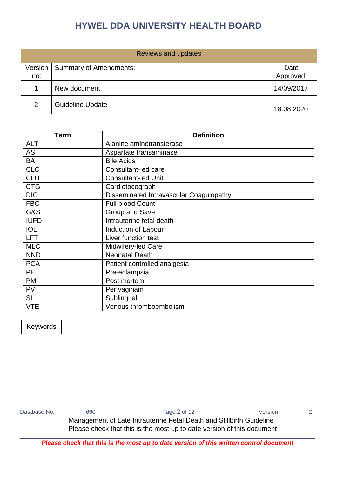| <b>Reviews and updates</b> |                               |            |  |
|----------------------------|-------------------------------|------------|--|
| Version                    | <b>Summary of Amendments:</b> | Date       |  |
| no:                        |                               | Approved:  |  |
|                            | New document                  | 14/09/2017 |  |
| 2                          | <b>Guideline Update</b>       | 18.08.2020 |  |

| <b>Term</b>    | <b>Definition</b>                       |
|----------------|-----------------------------------------|
| <b>ALT</b>     | Alanine aminotransferase                |
| <b>AST</b>     | Aspartate transaminase                  |
| <b>BA</b>      | <b>Bile Acids</b>                       |
| <b>CLC</b>     | Consultant-led care                     |
| <b>CLU</b>     | <b>Consultant-led Unit</b>              |
| <b>CTG</b>     | Cardiotocograph                         |
| <b>DIC</b>     | Disseminated Intravascular Coagulopathy |
| <b>FBC</b>     | <b>Full blood Count</b>                 |
| <b>G&amp;S</b> | <b>Group and Save</b>                   |
| <b>IUFD</b>    | Intrauterine fetal death                |
| <b>IOL</b>     | Induction of Labour                     |
| <b>LFT</b>     | Liver function test                     |
| <b>MLC</b>     | Midwifery-led Care                      |
| <b>NND</b>     | <b>Neonatal Death</b>                   |
| <b>PCA</b>     | Patient controlled analgesia            |
| <b>PET</b>     | Pre-eclampsia                           |
| <b>PM</b>      | Post mortem                             |
| <b>PV</b>      | Per vaginam                             |
| <b>SL</b>      | Sublingual                              |
| <b>VTE</b>     | Venous thromboembolism                  |

| Keywords |  |  |
|----------|--|--|

| Database No: | 660                                                                    | Page 2 of 12 | Version |  |  |
|--------------|------------------------------------------------------------------------|--------------|---------|--|--|
|              | Management of Late Intrauterine Fetal Death and Stillbirth Guideline   |              |         |  |  |
|              | Please check that this is the most up to date version of this document |              |         |  |  |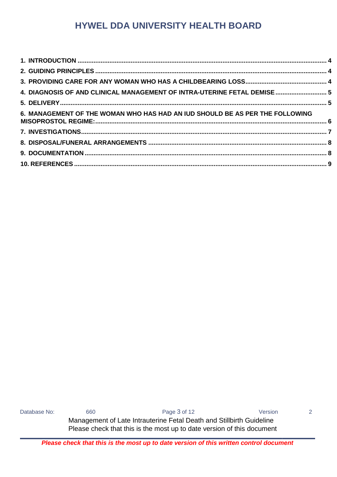| 4. DIAGNOSIS OF AND CLINICAL MANAGEMENT OF INTRA-UTERINE FETAL DEMISE 5      |  |
|------------------------------------------------------------------------------|--|
|                                                                              |  |
| 6. MANAGEMENT OF THE WOMAN WHO HAS HAD AN IUD SHOULD BE AS PER THE FOLLOWING |  |
|                                                                              |  |
|                                                                              |  |
|                                                                              |  |
|                                                                              |  |

Database No: 660 660 Page 3 of 12 Version 2 Management of Late Intrauterine Fetal Death and Stillbirth Guideline Please check that this is the most up to date version of this document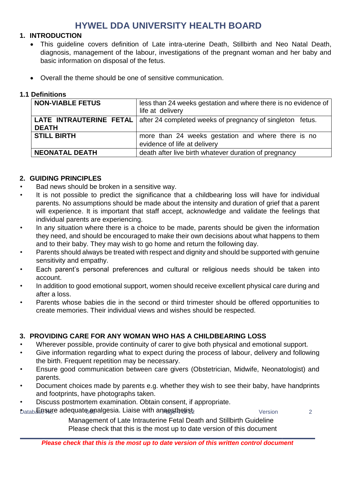### <span id="page-3-0"></span>**1. INTRODUCTION**

- This guideline covers definition of Late intra-uterine Death, Stillbirth and Neo Natal Death, diagnosis, management of the labour, investigations of the pregnant woman and her baby and basic information on disposal of the fetus.
- Overall the theme should be one of sensitive communication.

### **1.1 Definitions**

| <b>NON-VIABLE FETUS</b> | less than 24 weeks gestation and where there is no evidence of<br>life at delivery  |  |
|-------------------------|-------------------------------------------------------------------------------------|--|
| <b>DEATH</b>            | LATE INTRAUTERINE FETAL   after 24 completed weeks of pregnancy of singleton fetus. |  |
| <b>STILL BIRTH</b>      | more than 24 weeks gestation and where there is no<br>evidence of life at delivery  |  |
| <b>NEONATAL DEATH</b>   | death after live birth whatever duration of pregnancy                               |  |

### <span id="page-3-1"></span>**2. GUIDING PRINCIPLES**

- Bad news should be broken in a sensitive way.
- It is not possible to predict the significance that a childbearing loss will have for individual parents. No assumptions should be made about the intensity and duration of grief that a parent will experience. It is important that staff accept, acknowledge and validate the feelings that individual parents are experiencing.
- In any situation where there is a choice to be made, parents should be given the information they need, and should be encouraged to make their own decisions about what happens to them and to their baby. They may wish to go home and return the following day.
- Parents should always be treated with respect and dignity and should be supported with genuine sensitivity and empathy.
- Each parent's personal preferences and cultural or religious needs should be taken into account.
- In addition to good emotional support, women should receive excellent physical care during and after a loss.
- Parents whose babies die in the second or third trimester should be offered opportunities to create memories. Their individual views and wishes should be respected.

### <span id="page-3-2"></span>**3. PROVIDING CARE FOR ANY WOMAN WHO HAS A CHILDBEARING LOSS**

- Wherever possible, provide continuity of carer to give both physical and emotional support.
- Give information regarding what to expect during the process of labour, delivery and following the birth. Frequent repetition may be necessary.
- Ensure good communication between care givers (Obstetrician, Midwife, Neonatologist) and parents.
- Document choices made by parents e.g. whether they wish to see their baby, have handprints and footprints, have photographs taken.
- Discuss postmortem examination. Obtain consent, if appropriate.

b<sub>atab</sub>&eয়নে adequate and algesia. Liaise with anaesthetist

Management of Late Intrauterine Fetal Death and Stillbirth Guideline Please check that this is the most up to date version of this document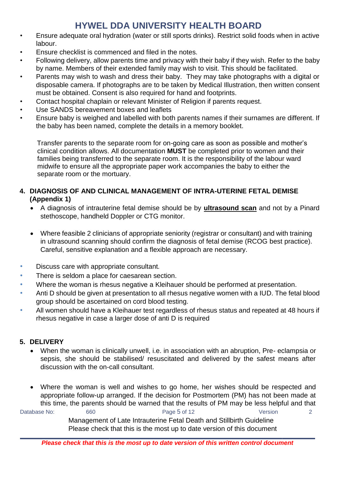- Ensure adequate oral hydration (water or still sports drinks). Restrict solid foods when in active labour.
- Ensure checklist is commenced and filed in the notes.
- Following delivery, allow parents time and privacy with their baby if they wish. Refer to the baby by name. Members of their extended family may wish to visit. This should be facilitated.
- Parents may wish to wash and dress their baby. They may take photographs with a digital or disposable camera. If photographs are to be taken by Medical Illustration, then written consent must be obtained. Consent is also required for hand and footprints.
- Contact hospital chaplain or relevant Minister of Religion if parents request.
- Use SANDS bereavement boxes and leaflets
- Ensure baby is weighed and labelled with both parents names if their surnames are different. If the baby has been named, complete the details in a memory booklet.

Transfer parents to the separate room for on-going care as soon as possible and mother's clinical condition allows. All documentation **MUST** be completed prior to women and their families being transferred to the separate room. It is the responsibility of the labour ward midwife to ensure all the appropriate paper work accompanies the baby to either the separate room or the mortuary.

### <span id="page-4-0"></span>**4. DIAGNOSIS OF AND CLINICAL MANAGEMENT OF INTRA-UTERINE FETAL DEMISE (Appendix 1)**

- A diagnosis of intrauterine fetal demise should be by **ultrasound scan** and not by a Pinard stethoscope, handheld Doppler or CTG monitor.
- Where feasible 2 clinicians of appropriate seniority (registrar or consultant) and with training in ultrasound scanning should confirm the diagnosis of fetal demise (RCOG best practice). Careful, sensitive explanation and a flexible approach are necessary.
- Discuss care with appropriate consultant*.*
- There is seldom a place for caesarean section.
- Where the woman is rhesus negative a Kleihauer should be performed at presentation.
- Anti D should be given at presentation to all rhesus negative women with a IUD. The fetal blood group should be ascertained on cord blood testing.
- All women should have a Kleihauer test regardless of rhesus status and repeated at 48 hours if rhesus negative in case a larger dose of anti D is required

### <span id="page-4-1"></span>**5. DELIVERY**

 When the woman is clinically unwell, i.e. in association with an abruption, Pre- eclampsia or sepsis, she should be stabilised/ resuscitated and delivered by the safest means after discussion with the on-call consultant.

Database No: 660 660 Page 5 of 12 Version 2 Management of Late Intrauterine Fetal Death and Stillbirth Guideline Where the woman is well and wishes to go home, her wishes should be respected and appropriate follow-up arranged. If the decision for Postmortem (PM) has not been made at this time, the parents should be warned that the results of PM may be less helpful and that

Please check that this is the most up to date version of this document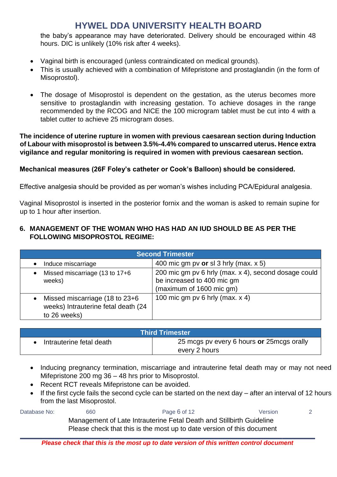the baby's appearance may have deteriorated. Delivery should be encouraged within 48 hours. DIC is unlikely (10% risk after 4 weeks).

- Vaginal birth is encouraged (unless contraindicated on medical grounds).
- This is usually achieved with a combination of Mifepristone and prostaglandin (in the form of Misoprostol).
- The dosage of Misoprostol is dependent on the gestation, as the uterus becomes more sensitive to prostaglandin with increasing gestation. To achieve dosages in the range recommended by the RCOG and NICE the 100 microgram tablet must be cut into 4 with a tablet cutter to achieve 25 microgram doses.

**The incidence of uterine rupture in women with previous caesarean section during Induction of Labour with misoprostol is between 3.5%-4.4% compared to unscarred uterus. Hence extra vigilance and regular monitoring is required in women with previous caesarean section.** 

### **Mechanical measures (26F Foley's catheter or Cook's Balloon) should be considered.**

Effective analgesia should be provided as per woman's wishes including PCA/Epidural analgesia.

Vaginal Misoprostol is inserted in the posterior fornix and the woman is asked to remain supine for up to 1 hour after insertion.

#### <span id="page-5-0"></span>**6. MANAGEMENT OF THE WOMAN WHO HAS HAD AN IUD SHOULD BE AS PER THE FOLLOWING MISOPROSTOL REGIME:**

| <b>Second Trimester</b>                                                                   |                                                                                                                |  |
|-------------------------------------------------------------------------------------------|----------------------------------------------------------------------------------------------------------------|--|
| Induce miscarriage<br>$\bullet$                                                           | 400 mic gm pv or sl 3 hrly (max. $x 5$ )                                                                       |  |
| Missed miscarriage (13 to 17+6<br>$\bullet$<br>weeks)                                     | 200 mic gm pv 6 hrly (max. x 4), second dosage could<br>be increased to 400 mic gm<br>(maximum of 1600 mic gm) |  |
| • Missed miscarriage (18 to $23+6$<br>weeks) Intrauterine fetal death (24<br>to 26 weeks) | 100 mic gm pv 6 hrly (max. $x$ 4)                                                                              |  |

| <b>Third Trimester</b>   |                                                              |  |  |
|--------------------------|--------------------------------------------------------------|--|--|
| Intrauterine fetal death | 25 mcgs pv every 6 hours or 25 mcgs or ally<br>every 2 hours |  |  |

- Inducing pregnancy termination, miscarriage and intrauterine fetal death may or may not need Mifepristone 200 mg 36 – 48 hrs prior to Misoprostol.
- Recent RCT reveals Mifepristone can be avoided.
- If the first cycle fails the second cycle can be started on the next day after an interval of 12 hours from the last Misoprostol.

Database No: 660 660 Page 6 of 12 Version 2 Management of Late Intrauterine Fetal Death and Stillbirth Guideline Please check that this is the most up to date version of this document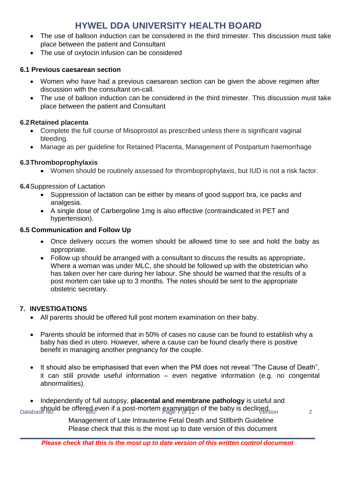- The use of balloon induction can be considered in the third trimester. This discussion must take place between the patient and Consultant
- The use of oxytocin infusion can be considered

### **6.1 Previous caesarean section**

- Women who have had a previous caesarean section can be given the above regimen after discussion with the consultant on-call.
- The use of balloon induction can be considered in the third trimester. This discussion must take place between the patient and Consultant

### **6.2Retained placenta**

- Complete the full course of Misoprostol as prescribed unless there is significant vaginal bleeding.
- Manage as per guideline for Retained Placenta, Management of Postpartum haemorrhage

### **6.3Thromboprophylaxis**

Women should be routinely assessed for thromboprophylaxis, but IUD is not a risk factor.

**6.4**Suppression of Lactation

- Suppression of lactation can be either by means of good support bra, ice packs and analgesia.
- A single dose of Carbergoline 1mg is also effective (contraindicated in PET and hypertension).

### **6.5 Communication and Follow Up**

- Once delivery occurs the women should be allowed time to see and hold the baby as appropriate.
- Follow up should be arranged with a consultant to discuss the results as appropriate**.**  Where a woman was under MLC, she should be followed up with the obstetrician who has taken over her care during her labour. She should be warned that the results of a post mortem can take up to 3 months. The notes should be sent to the appropriate obstetric secretary.

### <span id="page-6-0"></span>**7. INVESTIGATIONS**

- All parents should be offered full post mortem examination on their baby.
- Parents should be informed that in 50% of cases no cause can be found to establish why a baby has died in utero. However, where a cause can be found clearly there is positive benefit in managing another pregnancy for the couple.
- It should also be emphasised that even when the PM does not reveal "The Cause of Death", it can still provide useful information – even negative information (e.g. no congenital abnormalities).

Database No: **6 offered even if a post-mortem examination of the baby is declined.** 2 Independently of full autopsy, **placental and membrane pathology** is useful and

Management of Late Intrauterine Fetal Death and Stillbirth Guideline Please check that this is the most up to date version of this document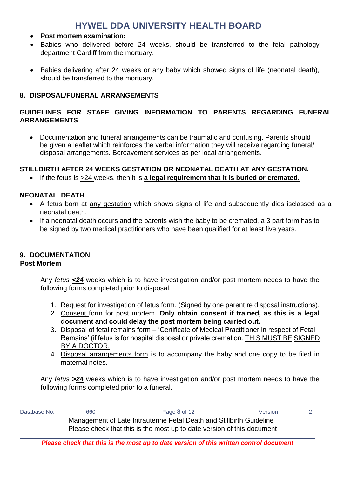- **Post mortem examination:**
- Babies who delivered before 24 weeks, should be transferred to the fetal pathology department Cardiff from the mortuary.
- Babies delivering after 24 weeks or any baby which showed signs of life (neonatal death), should be transferred to the mortuary.

### <span id="page-7-0"></span>**8. DISPOSAL/FUNERAL ARRANGEMENTS**

### **GUIDELINES FOR STAFF GIVING INFORMATION TO PARENTS REGARDING FUNERAL ARRANGEMENTS**

 Documentation and funeral arrangements can be traumatic and confusing. Parents should be given a leaflet which reinforces the verbal information they will receive regarding funeral/ disposal arrangements. Bereavement services as per local arrangements.

**STILLBIRTH AFTER 24 WEEKS GESTATION OR NEONATAL DEATH AT ANY GESTATION.** 

If the fetus is >24 weeks, then it is **a legal requirement that it is buried or cremated.**

### **NEONATAL DEATH**

- A fetus born at any gestation which shows signs of life and subsequently dies isclassed as a neonatal death.
- If a neonatal death occurs and the parents wish the baby to be cremated, a 3 part form has to be signed by two medical practitioners who have been qualified for at least five years.

### <span id="page-7-1"></span>**9. DOCUMENTATION**

### **Post Mortem**

Any *fetus <24* weeks which is to have investigation and/or post mortem needs to have the following forms completed prior to disposal.

- 1. Request for investigation of fetus form. (Signed by one parent re disposal instructions).
- 2. Consent form for post mortem. **Only obtain consent if trained, as this is a legal document and could delay the post mortem being carried out.**
- 3. Disposal of fetal remains form 'Certificate of Medical Practitioner in respect of Fetal Remains' (if fetus is for hospital disposal or private cremation. THIS MUST BE SIGNED BY A DOCTOR.
- 4. Disposal arrangements form is to accompany the baby and one copy to be filed in maternal notes.

Any *fetus >24* weeks which is to have investigation and/or post mortem needs to have the following forms completed prior to a funeral.

Database No: 660 660 Page 8 of 12 Version 2 Management of Late Intrauterine Fetal Death and Stillbirth Guideline Please check that this is the most up to date version of this document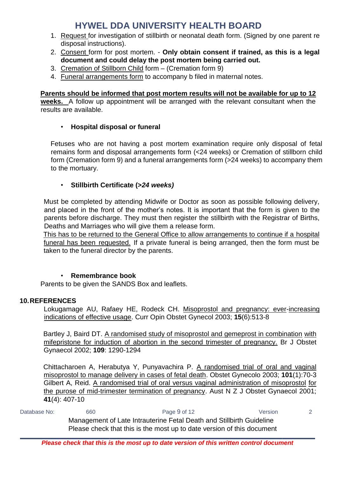- 1. Request for investigation of stillbirth or neonatal death form. (Signed by one parent re disposal instructions).
- 2. Consent form for post mortem. **Only obtain consent if trained, as this is a legal document and could delay the post mortem being carried out.**
- 3. Cremation of Stillborn Child form (Cremation form 9)
- 4. Funeral arrangements form to accompany b filed in maternal notes.

### **Parents should be informed that post mortem results will not be available for up to 12**

**weeks.** A follow up appointment will be arranged with the relevant consultant when the results are available.

### • **Hospital disposal or funeral**

Fetuses who are not having a post mortem examination require only disposal of fetal remains form and disposal arrangements form (<24 weeks) or Cremation of stillborn child form (Cremation form 9) and a funeral arrangements form (>24 weeks) to accompany them to the mortuary.

### • **Stillbirth Certificate (>***24 weeks)*

Must be completed by attending Midwife or Doctor as soon as possible following delivery, and placed in the front of the mother's notes. It is important that the form is given to the parents before discharge. They must then register the stillbirth with the Registrar of Births, Deaths and Marriages who will give them a release form.

This has to be returned to the General Office to allow arrangements to continue if a hospital funeral has been requested. If a private funeral is being arranged, then the form must be taken to the funeral director by the parents.

### • **Remembrance book**

Parents to be given the SANDS Box and leaflets.

### <span id="page-8-0"></span>**10.REFERENCES**

Lokugamage AU, Rafaey HE, Rodeck CH. Misoprostol and pregnancy: ever-increasing indications of effective usage. Curr Opin Obstet Gynecol 2003; **15**(6):513-8

Bartley J, Baird DT. A randomised study of misoprostol and gemeprost in combination with mifepristone for induction of abortion in the second trimester of pregnancy. Br J Obstet Gynaecol 2002; **109**: 1290-1294

Chittacharoen A, Herabutya Y, Punyavachira P. A randomised trial of oral and vaginal misoprostol to manage delivery in cases of fetal death. Obstet Gynecolo 2003; **101**(1):70-3 Gilbert A, Reid. A randomised trial of oral versus vaginal administration of misoprostol for the purose of mid-trimester termination of pregnancy. Aust N Z J Obstet Gynaecol 2001; **41**(4): 407-10

Database No: 660 660 Page 9 of 12 Version 2 Management of Late Intrauterine Fetal Death and Stillbirth Guideline Please check that this is the most up to date version of this document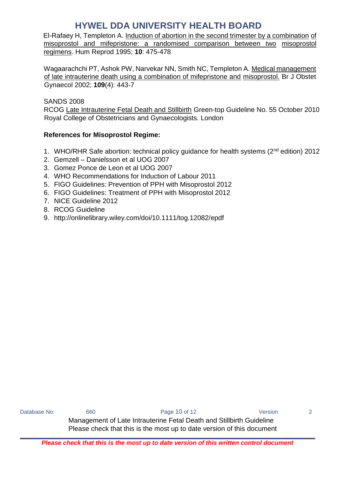El-Rafaey H, Templeton A. Induction of abortion in the second trimester by a combination of misoprostol and mifepristone: a randomised comparison between two misoprostol regimens. Hum Reprod 1995; **10**: 475-478

Wagaarachchi PT, Ashok PW, Narvekar NN, Smith NC, Templeton A. Medical management of late intrauterine death using a combination of mifepristone and misoprostol. Br J Obstet Gynaecol 2002; **109**(4): 443-7

SANDS 2008 RCOG Late Intrauterine Fetal Death and Stillbirth Green-top Guideline No. 55 October 2010 Royal College of Obstetricians and Gynaecologists. London

### **References for Misoprostol Regime:**

- 1. WHO/RHR Safe abortion: technical policy guidance for health systems (2<sup>nd</sup> edition) 2012
- 2. Gemzell Danielsson et al UOG 2007
- 3. Gomez Ponce de Leon et al UOG 2007
- 4. WHO Recommendations for Induction of Labour 2011
- 5. FIGO Guidelines: Prevention of PPH with Misoprostol 2012
- 6. FIGO Guidelines: Treatment of PPH with Misoprostol 2012
- 7. NICE Guideline 2012
- 8. RCOG Guideline
- 9. http://onlinelibrary.wiley.com/doi/10.1111/tog.12082/epdf

Database No: 660 660 Page 10 of 12 Version 2 Management of Late Intrauterine Fetal Death and Stillbirth Guideline Please check that this is the most up to date version of this document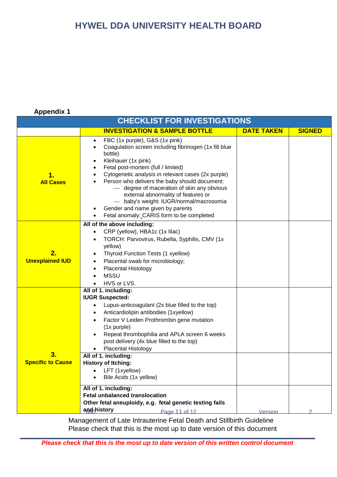### **Appendix 1**

| <b>CHECKLIST FOR INVESTIGATIONS</b> |                                                                                                                                                                                                                                                                                                                                                                                                                                                                                                                   |                   |               |  |  |
|-------------------------------------|-------------------------------------------------------------------------------------------------------------------------------------------------------------------------------------------------------------------------------------------------------------------------------------------------------------------------------------------------------------------------------------------------------------------------------------------------------------------------------------------------------------------|-------------------|---------------|--|--|
|                                     | <b>INVESTIGATION &amp; SAMPLE BOTTLE</b>                                                                                                                                                                                                                                                                                                                                                                                                                                                                          | <b>DATE TAKEN</b> | <b>SIGNED</b> |  |  |
| 1.<br><b>All Cases</b>              | FBC (1x purple), G&S (1x pink)<br>$\bullet$<br>Coagulation screen including fibrinogen (1x fill blue<br>bottle)<br>Kleihauer (1x pink)<br>$\bullet$<br>Fetal post-mortem (full / limited)<br>Cytogenetic analysis in relevant cases (2x purple)<br>Person who delivers the baby should document:<br>- degree of maceration of skin any obvious<br>external abnormality of features or<br>- baby's weight: IUGR/normal/macrosomia<br>Gender and name given by parents<br>Fetal anomaly: CARIS form to be completed |                   |               |  |  |
| 2.<br><b>Unexplained IUD</b>        | All of the above including:<br>CRP (yellow), HBA1c (1x lilac)<br>$\bullet$<br>TORCH: Parvovirus, Rubella, Syphilis, CMV (1x)<br>٠<br>yellow)<br>Thyroid Function Tests (1 xyellow)<br>Placental swab for microbiology;<br>$\bullet$<br><b>Placental Histology</b><br>$\bullet$<br><b>MSSU</b><br>HVS or LVS.<br>$\bullet$                                                                                                                                                                                         |                   |               |  |  |
| 3.<br><b>Specific to Cause</b>      | All of 1. including:<br><b>IUGR Suspected:</b><br>Lupus-anticoagulant (2x blue filled to the top)<br>$\bullet$<br>Anticardiolipin antibodies (1xyellow)<br>٠<br>Factor V Leiden Prothrombin gene mutation<br>$\bullet$<br>(1x purple)<br>Repeat thrombophilia and APLA screen 6 weeks<br>post delivery (4x blue filled to the top)<br>Placental Histology<br>All of 1. including:<br><b>History of Itching:</b><br>• LFT (1xyellow)<br>Bile Acids (1x yellow)<br>All of 1. including:                             |                   |               |  |  |
|                                     | <b>Fetal unbalanced translocation</b><br>Other fetal aneuploidy, e.g. fetal genetic testing fails<br>and history<br>Page 11 of 12                                                                                                                                                                                                                                                                                                                                                                                 | Version           |               |  |  |

Management of Late Intrauterine Fetal Death and Stillbirth Guideline Please check that this is the most up to date version of this document